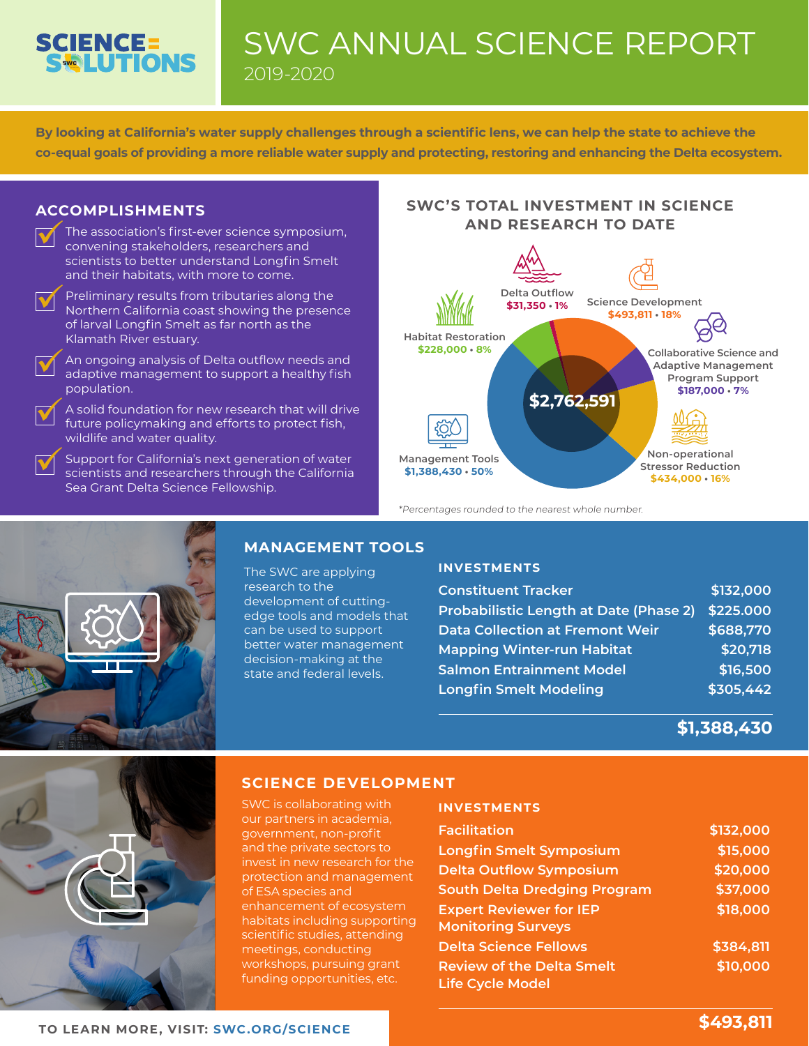# **SCIENCE=<br>SCILUTIONS**

### SWC ANNUAL SCIENCE REPORT 2019-2020

**By looking at California's water supply challenges through a scientific lens, we can help the state to achieve the co-equal goals of providing a more reliable water supply and protecting, restoring and enhancing the Delta ecosystem.**

### **ACCOMPLISHMENTS**

The association's first-ever science symposium, convening stakeholders, researchers and scientists to better understand Longfin Smelt and their habitats, with more to come.  $\blacktriangledown$ 



 $\blacktriangledown$ 

Preliminary results from tributaries along the Northern California coast showing the presence of larval Longfin Smelt as far north as the Klamath River estuary.

An ongoing analysis of Delta outflow needs and adaptive management to support a healthy fish population.  $\blacktriangledown$ 

A solid foundation for new research that will drive future policymaking and efforts to protect fish, wildlife and water quality.

Support for California's next generation of water scientists and researchers through the California Sea Grant Delta Science Fellowship.  $\blacktriangledown$ 

### **SWC'S TOTAL INVESTMENT IN SCIENCE AND RESEARCH TO DATE**



\*Percentages rounded to the nearest whole number.



### **MANAGEMENT TOOLS**

The SWC are applying research to the development of cuttingedge tools and models that can be used to support better water management decision-making at the state and federal levels.

### **INVESTMENTS**

| <b>Constituent Tracker</b>                    | \$132,000 |
|-----------------------------------------------|-----------|
| <b>Probabilistic Length at Date (Phase 2)</b> | \$225.000 |
| <b>Data Collection at Fremont Weir</b>        | \$688,770 |
| <b>Mapping Winter-run Habitat</b>             | \$20,718  |
| <b>Salmon Entrainment Model</b>               | \$16,500  |
| <b>Longfin Smelt Modeling</b>                 | \$305,442 |

**\$1,388,430**



### **SCIENCE DEVELOPMENT**

SWC is collaborating with our partners in academia, government, non-profit and the private sectors to invest in new research for the protection and management of ESA species and enhancement of ecosystem habitats including supporting scientific studies, attending meetings, conducting workshops, pursuing grant funding opportunities, etc.

#### **INVESTMENTS**

| <b>Facilitation</b>                 | \$132,000 |
|-------------------------------------|-----------|
| <b>Longfin Smelt Symposium</b>      | \$15,000  |
| <b>Delta Outflow Symposium</b>      | \$20,000  |
| <b>South Delta Dredging Program</b> | \$37,000  |
| <b>Expert Reviewer for IEP</b>      | \$18,000  |
| <b>Monitoring Surveys</b>           |           |
| <b>Delta Science Fellows</b>        | \$384,811 |
| <b>Review of the Delta Smelt</b>    | \$10,000  |
| <b>Life Cycle Model</b>             |           |